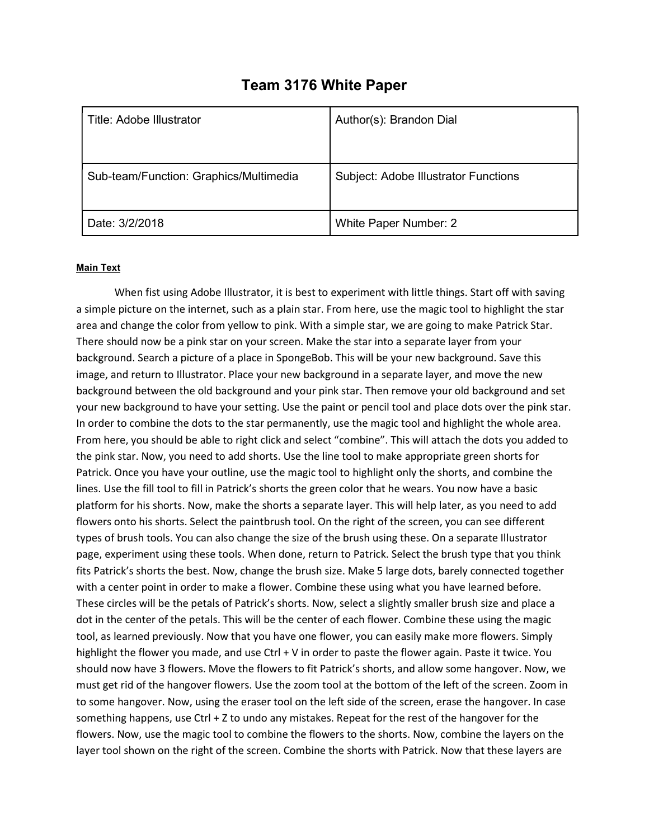| Title: Adobe Illustrator               | Author(s): Brandon Dial                     |
|----------------------------------------|---------------------------------------------|
|                                        |                                             |
| Sub-team/Function: Graphics/Multimedia | <b>Subject: Adobe Illustrator Functions</b> |
| Date: 3/2/2018                         | White Paper Number: 2                       |

## Team 3176 White Paper

## Main Text

When fist using Adobe Illustrator, it is best to experiment with little things. Start off with saving a simple picture on the internet, such as a plain star. From here, use the magic tool to highlight the star area and change the color from yellow to pink. With a simple star, we are going to make Patrick Star. There should now be a pink star on your screen. Make the star into a separate layer from your background. Search a picture of a place in SpongeBob. This will be your new background. Save this image, and return to Illustrator. Place your new background in a separate layer, and move the new background between the old background and your pink star. Then remove your old background and set your new background to have your setting. Use the paint or pencil tool and place dots over the pink star. In order to combine the dots to the star permanently, use the magic tool and highlight the whole area. From here, you should be able to right click and select "combine". This will attach the dots you added to the pink star. Now, you need to add shorts. Use the line tool to make appropriate green shorts for Patrick. Once you have your outline, use the magic tool to highlight only the shorts, and combine the lines. Use the fill tool to fill in Patrick's shorts the green color that he wears. You now have a basic platform for his shorts. Now, make the shorts a separate layer. This will help later, as you need to add flowers onto his shorts. Select the paintbrush tool. On the right of the screen, you can see different types of brush tools. You can also change the size of the brush using these. On a separate Illustrator page, experiment using these tools. When done, return to Patrick. Select the brush type that you think fits Patrick's shorts the best. Now, change the brush size. Make 5 large dots, barely connected together with a center point in order to make a flower. Combine these using what you have learned before. These circles will be the petals of Patrick's shorts. Now, select a slightly smaller brush size and place a dot in the center of the petals. This will be the center of each flower. Combine these using the magic tool, as learned previously. Now that you have one flower, you can easily make more flowers. Simply highlight the flower you made, and use Ctrl + V in order to paste the flower again. Paste it twice. You should now have 3 flowers. Move the flowers to fit Patrick's shorts, and allow some hangover. Now, we must get rid of the hangover flowers. Use the zoom tool at the bottom of the left of the screen. Zoom in to some hangover. Now, using the eraser tool on the left side of the screen, erase the hangover. In case something happens, use Ctrl + Z to undo any mistakes. Repeat for the rest of the hangover for the flowers. Now, use the magic tool to combine the flowers to the shorts. Now, combine the layers on the layer tool shown on the right of the screen. Combine the shorts with Patrick. Now that these layers are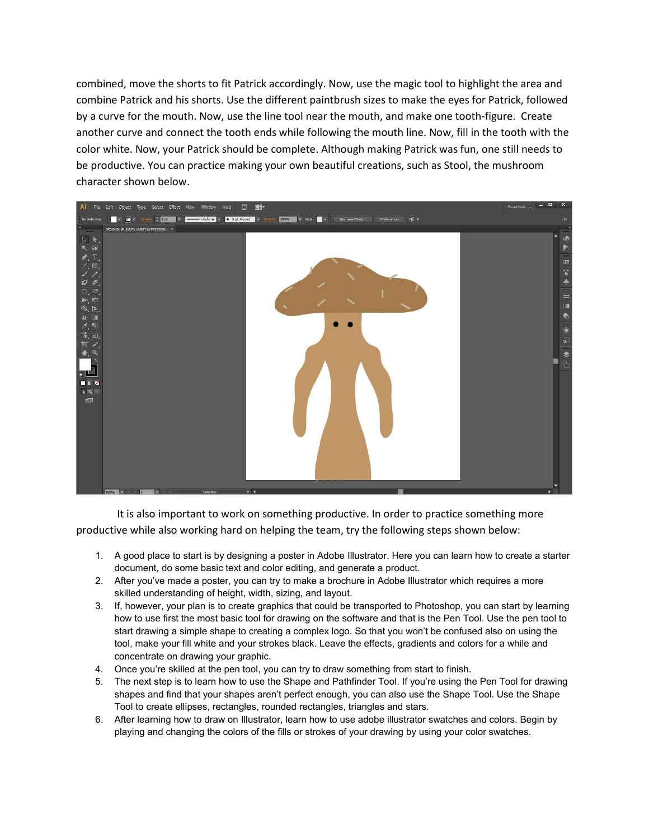combined, move the shorts to fit Patrick accordingly. Now, use the magic tool to highlight the area and combine Patrick and his shorts. Use the different paintbrush sizes to make the eyes for Patrick, followed by a curve for the mouth. Now, use the line tool near the mouth, and make one tooth-figure. Create another curve and connect the tooth ends while following the mouth line. Now, fill in the tooth with the color white. Now, your Patrick should be complete. Although making Patrick was fun, one still needs to be productive. You can practice making your own beautiful creations, such as Stool, the mushroom character shown below.



 It is also important to work on something productive. In order to practice something more productive while also working hard on helping the team, try the following steps shown below:

- 1. A good place to start is by designing a poster in Adobe Illustrator. Here you can learn how to create a starter document, do some basic text and color editing, and generate a product.
- 2. After you've made a poster, you can try to make a brochure in Adobe Illustrator which requires a more skilled understanding of height, width, sizing, and layout.
- 3. If, however, your plan is to create graphics that could be transported to Photoshop, you can start by learning how to use first the most basic tool for drawing on the software and that is the Pen Tool. Use the pen tool to start drawing a simple shape to creating a complex logo. So that you won't be confused also on using the tool, make your fill white and your strokes black. Leave the effects, gradients and colors for a while and concentrate on drawing your graphic.
- 4. Once you're skilled at the pen tool, you can try to draw something from start to finish.
- 5. The next step is to learn how to use the Shape and Pathfinder Tool. If you're using the Pen Tool for drawing shapes and find that your shapes aren't perfect enough, you can also use the Shape Tool. Use the Shape Tool to create ellipses, rectangles, rounded rectangles, triangles and stars.
- 6. After learning how to draw on Illustrator, learn how to use adobe illustrator swatches and colors. Begin by playing and changing the colors of the fills or strokes of your drawing by using your color swatches.